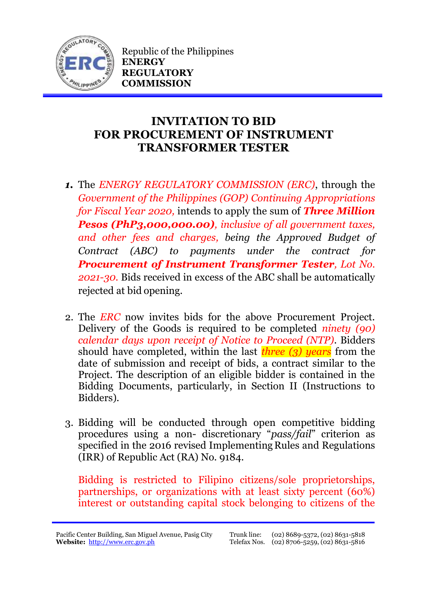

Republic of the Philippines **ENERGY REGULATORY COMMISSION**

## **INVITATION TO BID FOR PROCUREMENT OF INSTRUMENT TRANSFORMER TESTER**

- *1.* The *ENERGY REGULATORY COMMISSION (ERC)*, through the *Government of the Philippines (GOP) Continuing Appropriations for Fiscal Year 2020,* intends to apply the sum of *Three Million Pesos (PhP3,000,000.00), inclusive of all government taxes, and other fees and charges, being the Approved Budget of Contract (ABC) to payments under the contract for Procurement of Instrument Transformer Tester, Lot No. 2021-30.* Bids received in excess of the ABC shall be automatically rejected at bid opening.
- 2. The *ERC* now invites bids for the above Procurement Project. Delivery of the Goods is required to be completed *ninety (90) calendar days upon receipt of Notice to Proceed (NTP).* Bidders should have completed, within the last *three (3) years* from the date of submission and receipt of bids, a contract similar to the Project. The description of an eligible bidder is contained in the Bidding Documents, particularly, in Section II (Instructions to Bidders).
- 3. Bidding will be conducted through open competitive bidding procedures using a non- discretionary "*pass/fail*" criterion as specified in the 2016 revised Implementing Rules and Regulations (IRR) of Republic Act (RA) No. 9184.

Bidding is restricted to Filipino citizens/sole proprietorships, partnerships, or organizations with at least sixty percent (60%) interest or outstanding capital stock belonging to citizens of the

Pacific Center Building, San Miguel Avenue, Pasig City **Website:** [http://www.erc.gov.ph](http://www.erc.gov.ph/)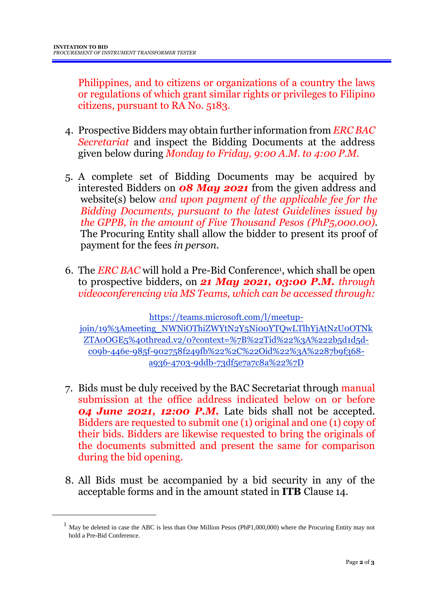<u>.</u>

Philippines, and to citizens or organizations of a country the laws or regulations of which grant similar rights or privileges to Filipino citizens, pursuant to RA No. 5183.

- 4. Prospective Bidders may obtain further information from *ERC BAC Secretariat* and inspect the Bidding Documents at the address given below during *Monday to Friday, 9:00 A.M. to 4:00 P.M*.
- 5. A complete set of Bidding Documents may be acquired by interested Bidders on *08 May 2021* from the given address and website(s) below *and upon payment of the applicable fee for the Bidding Documents, pursuant to the latest Guidelines issued by the GPPB, in the amount of Five Thousand Pesos (PhP5,000.00)*. The Procuring Entity shall allow the bidder to present its proof of payment for the fees *in person.*
- 6. The *ERC BAC* will hold a Pre-Bid Conference<sup>1</sup> , which shall be open to prospective bidders, on *21 May 2021, 03:00 P.M. through videoconferencing via MS Teams, which can be accessed through:*

https://teams.microsoft.com/l/meetupjoin/19%3Ameeting\_NWNiOThiZWYtN2Y5Ni00YTQwLTlhYjAtNzU0OTNk ZTA0OGE5%40thread.v2/0?context=%7B%22Tid%22%3A%222b5d1d5dc09b-446e-985f-902758f249fb%22%2C%22Oid%22%3A%2287b9f368 a936-4703-9ddb-73df5e7a7c8a%22%7D

- 7. Bids must be duly received by the BAC Secretariat through manual submission at the office address indicated below on or before *04 June 2021, 12:00 P.M.* Late bids shall not be accepted. Bidders are requested to submit one (1) original and one (1) copy of their bids. Bidders are likewise requested to bring the originals of the documents submitted and present the same for comparison during the bid opening.
- 8. All Bids must be accompanied by a bid security in any of the acceptable forms and in the amount stated in **ITB** Clause 14.

 $1$  May be deleted in case the ABC is less than One Million Pesos (PhP1,000,000) where the Procuring Entity may not hold a Pre-Bid Conference.